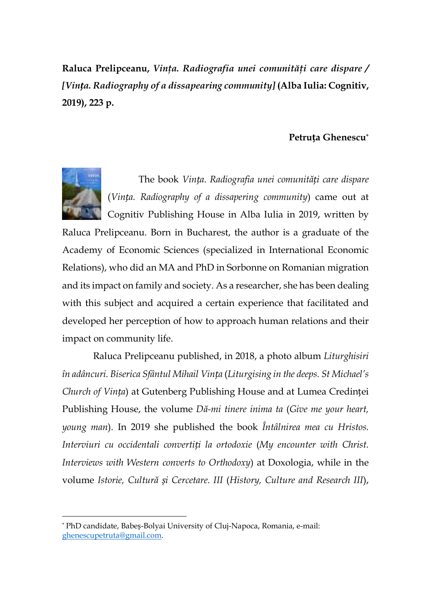Raluca Prelipceanu, Vinta. Radiografia unei comunități care dispare / *[Vința. Radiography of a dissapearing community]* **(Alba Iulia: Cognitiv, 2019), 223 p.** 

## **Petruța Ghenescu\***



l

The book *Vința. Radiografia unei comunități care dispare* (*Vința. Radiography of a dissapering community*) came out at Cognitiv Publishing House in Alba Iulia in 2019, written by

Raluca Prelipceanu. Born in Bucharest, the author is a graduate of the Academy of Economic Sciences (specialized in International Economic Relations), who did an MA and PhD in Sorbonne on Romanian migration and its impact on family and society. As a researcher, she has been dealing with this subject and acquired a certain experience that facilitated and developed her perception of how to approach human relations and their impact on community life.

Raluca Prelipceanu published, in 2018, a photo album *Liturghisiri în adâncuri. Biserica Sfântul Mihail Vința* (*Liturgising in the deeps. St Michael's Church of Vința*) at Gutenberg Publishing House and at Lumea Credinței Publishing House, the volume *Dă-mi tinere inima ta* (*Give me your heart, young man*). In 2019 she published the book *Întâlnirea mea cu Hristos. Interviuri cu occidentali convertiți la ortodoxie* (*My encounter with Christ. Interviews with Western converts to Orthodoxy*) at Doxologia, while in the volume *Istorie, Cultură și Cercetare. III* (*History, Culture and Research III*),

<sup>\*</sup> PhD candidate, Babeș-Bolyai University of Cluj-Napoca, Romania, e-mail: ghenescupetruta@gmail.com.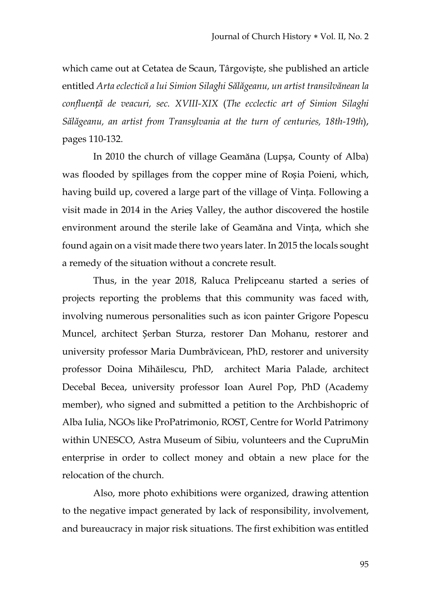which came out at Cetatea de Scaun, Târgoviște, she published an article entitled *Arta eclectică a lui Simion Silaghi Sălăgeanu, un artist transilvănean la confluență de veacuri, sec. XVIII-XIX* (*The ecclectic art of Simion Silaghi Sălăgeanu, an artist from Transylvania at the turn of centuries, 18th-19th*), pages 110-132.

In 2010 the church of village Geamăna (Lupșa, County of Alba) was flooded by spillages from the copper mine of Roșia Poieni, which, having build up, covered a large part of the village of Vința. Following a visit made in 2014 in the Arieș Valley, the author discovered the hostile environment around the sterile lake of Geamăna and Vința, which she found again on a visit made there two years later. In 2015 the locals sought a remedy of the situation without a concrete result.

Thus, in the year 2018, Raluca Prelipceanu started a series of projects reporting the problems that this community was faced with, involving numerous personalities such as icon painter Grigore Popescu Muncel, architect Șerban Sturza, restorer Dan Mohanu, restorer and university professor Maria Dumbrăvicean, PhD, restorer and university professor Doina Mihăilescu, PhD, architect Maria Palade, architect Decebal Becea, university professor Ioan Aurel Pop, PhD (Academy member), who signed and submitted a petition to the Archbishopric of Alba Iulia, NGOs like ProPatrimonio, ROST, Centre for World Patrimony within UNESCO, Astra Museum of Sibiu, volunteers and the CupruMin enterprise in order to collect money and obtain a new place for the relocation of the church.

Also, more photo exhibitions were organized, drawing attention to the negative impact generated by lack of responsibility, involvement, and bureaucracy in major risk situations. The first exhibition was entitled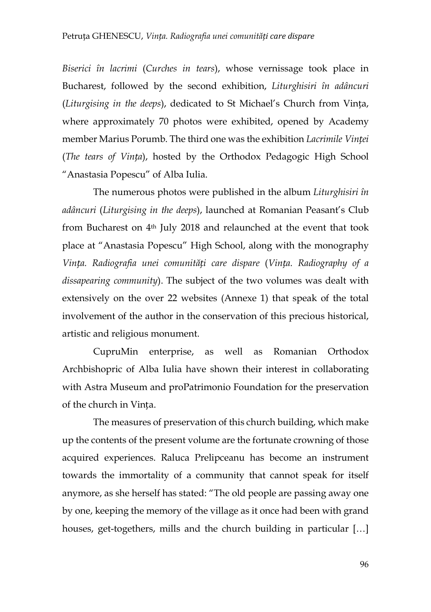*Biserici în lacrimi* (*Curches in tears*), whose vernissage took place in Bucharest, followed by the second exhibition, *Liturghisiri în adâncuri*  (*Liturgising in the deeps*), dedicated to St Michael's Church from Vința, where approximately 70 photos were exhibited, opened by Academy member Marius Porumb. The third one was the exhibition *Lacrimile Vinței* (*The tears of Vința*), hosted by the Orthodox Pedagogic High School "Anastasia Popescu" of Alba Iulia.

The numerous photos were published in the album *Liturghisiri în adâncuri* (*Liturgising in the deeps*), launched at Romanian Peasant's Club from Bucharest on 4th July 2018 and relaunched at the event that took place at "Anastasia Popescu" High School, along with the monography *Vința. Radiografia unei comunități care dispare* (*Vința. Radiography of a dissapearing community*). The subject of the two volumes was dealt with extensively on the over 22 websites (Annexe 1) that speak of the total involvement of the author in the conservation of this precious historical, artistic and religious monument.

CupruMin enterprise, as well as Romanian Orthodox Archbishopric of Alba Iulia have shown their interest in collaborating with Astra Museum and proPatrimonio Foundation for the preservation of the church in Vința.

The measures of preservation of this church building, which make up the contents of the present volume are the fortunate crowning of those acquired experiences. Raluca Prelipceanu has become an instrument towards the immortality of a community that cannot speak for itself anymore, as she herself has stated: "The old people are passing away one by one, keeping the memory of the village as it once had been with grand houses, get-togethers, mills and the church building in particular […]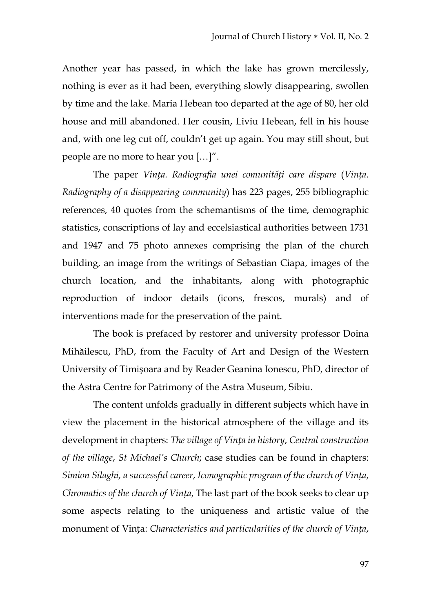Another year has passed, in which the lake has grown mercilessly, nothing is ever as it had been, everything slowly disappearing, swollen by time and the lake. Maria Hebean too departed at the age of 80, her old house and mill abandoned. Her cousin, Liviu Hebean, fell in his house and, with one leg cut off, couldn't get up again. You may still shout, but people are no more to hear you […]".

The paper *Vința. Radiografia unei comunități care dispare* (*Vința. Radiography of a disappearing community*) has 223 pages, 255 bibliographic references, 40 quotes from the schemantisms of the time, demographic statistics, conscriptions of lay and eccelsiastical authorities between 1731 and 1947 and 75 photo annexes comprising the plan of the church building, an image from the writings of Sebastian Ciapa, images of the church location, and the inhabitants, along with photographic reproduction of indoor details (icons, frescos, murals) and of interventions made for the preservation of the paint.

The book is prefaced by restorer and university professor Doina Mihăilescu, PhD, from the Faculty of Art and Design of the Western University of Timișoara and by Reader Geanina Ionescu, PhD, director of the Astra Centre for Patrimony of the Astra Museum, Sibiu.

The content unfolds gradually in different subjects which have in view the placement in the historical atmosphere of the village and its development in chapters: *The village of Vința in history*, *Central construction of the village*, *St Michael's Church*; case studies can be found in chapters: *Simion Silaghi, a successful career*, *Iconographic program of the church of Vința*, *Chromatics of the church of Vința*, The last part of the book seeks to clear up some aspects relating to the uniqueness and artistic value of the monument of Vința: *Characteristics and particularities of the church of Vința*,